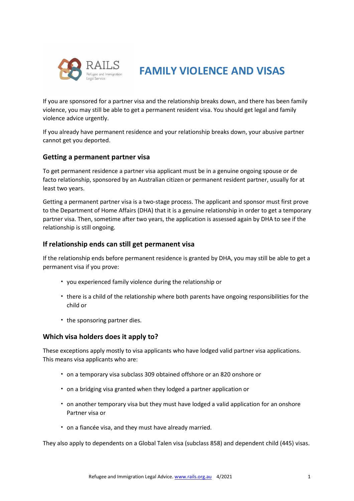

# **FAMILY VIOLENCE AND VISAS**

If you are sponsored for a partner visa and the relationship breaks down, and there has been family violence, you may still be able to get a permanent resident visa. You should get legal and family violence advice urgently.

If you already have permanent residence and your relationship breaks down, your abusive partner cannot get you deported.

### **Getting a permanent partner visa**

To get permanent residence a partner visa applicant must be in a genuine ongoing spouse or de facto relationship, sponsored by an Australian citizen or permanent resident partner, usually for at least two years.

Getting a permanent partner visa is a two-stage process. The applicant and sponsor must first prove to the Department of Home Affairs (DHA) that it is a genuine relationship in order to get a temporary partner visa. Then, sometime after two years, the application is assessed again by DHA to see if the relationship is still ongoing.

## **If relationship ends can still get permanent visa**

If the relationship ends before permanent residence is granted by DHA, you may still be able to get a permanent visa if you prove:

- you experienced family violence during the relationship or
- there is a child of the relationship where both parents have ongoing responsibilities for the child or
- the sponsoring partner dies.

## **Which visa holders does it apply to?**

These exceptions apply mostly to visa applicants who have lodged valid partner visa applications. This means visa applicants who are:

- on a temporary visa subclass 309 obtained offshore or an 820 onshore or
- on a bridging visa granted when they lodged a partner application or
- on another temporary visa but they must have lodged a valid application for an onshore Partner visa or
- on a fiancée visa, and they must have already married.

They also apply to dependents on a Global Talen visa (subclass 858) and dependent child (445) visas.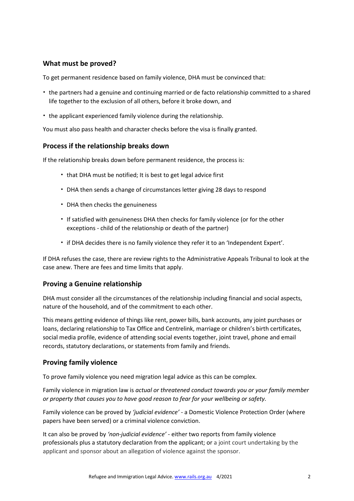## **What must be proved?**

To get permanent residence based on family violence, DHA must be convinced that:

- the partners had a genuine and continuing married or de facto relationship committed to a shared life together to the exclusion of all others, before it broke down, and
- the applicant experienced family violence during the relationship.

You must also pass health and character checks before the visa is finally granted.

### **Process if the relationship breaks down**

If the relationship breaks down before permanent residence, the process is:

- that DHA must be notified; It is best to get legal advice first
- DHA then sends a change of circumstances letter giving 28 days to respond
- DHA then checks the genuineness
- If satisfied with genuineness DHA then checks for family violence (or for the other exceptions - child of the relationship or death of the partner)
- if DHA decides there is no family violence they refer it to an 'Independent Expert'.

If DHA refuses the case, there are review rights to the Administrative Appeals Tribunal to look at the case anew. There are fees and time limits that apply.

### **Proving a Genuine relationship**

DHA must consider all the circumstances of the relationship including financial and social aspects, nature of the household, and of the commitment to each other.

This means getting evidence of things like rent, power bills, bank accounts, any joint purchases or loans, declaring relationship to Tax Office and Centrelink, marriage or children's birth certificates, social media profile, evidence of attending social events together, joint travel, phone and email records, statutory declarations, or statements from family and friends.

### **Proving family violence**

To prove family violence you need migration legal advice as this can be complex.

Family violence in migration law is *actual or threatened conduct towards you or your family member or property that causes you to have good reason to fear for your wellbeing or safety.*

Family violence can be proved by *'judicial evidence'* - a Domestic Violence Protection Order (where papers have been served) or a criminal violence conviction.

It can also be proved by *'non-judicial evidence'* - either two reports from family violence professionals plus a statutory declaration from the applicant; or a joint court undertaking by the applicant and sponsor about an allegation of violence against the sponsor.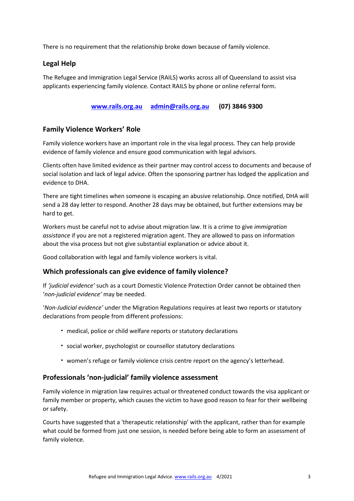There is no requirement that the relationship broke down because of family violence.

## **Legal Help**

The Refugee and Immigration Legal Service (RAILS) works across all of Queensland to assist visa applicants experiencing family violence. Contact RAILS by phone or online referral form.

**[www.rails.org.au](http://www.rails.org.au/) [admin@rails.org.au](mailto:admin@rails.org.au) (07) 3846 9300**

## **Family Violence Workers' Role**

Family violence workers have an important role in the visa legal process. They can help provide evidence of family violence and ensure good communication with legal advisors.

Clients often have limited evidence as their partner may control access to documents and because of social isolation and lack of legal advice. Often the sponsoring partner has lodged the application and evidence to DHA.

There are tight timelines when someone is escaping an abusive relationship. Once notified, DHA will send a 28 day letter to respond. Another 28 days may be obtained, but further extensions may be hard to get.

Workers must be careful not to advise about migration law. It is a crime to give *immigration assistance* if you are not a registered migration agent. They are allowed to pass on information about the visa process but not give substantial explanation or advice about it.

Good collaboration with legal and family violence workers is vital.

### **Which professionals can give evidence of family violence?**

If *'judicial evidence'* such as a court Domestic Violence Protection Order cannot be obtained then '*non-judicial evidence'* may be needed.

'*Non-Judicial evidence'* under the Migration Regulations requires at least two reports or statutory declarations from people from different professions:

- medical, police or child welfare reports or statutory declarations
- social worker, psychologist or counsellor statutory declarations
- women's refuge or family violence crisis centre report on the agency's letterhead.

#### **Professionals 'non-judicial' family violence assessment**

Family violence in migration law requires actual or threatened conduct towards the visa applicant or family member or property, which causes the victim to have good reason to fear for their wellbeing or safety.

Courts have suggested that a 'therapeutic relationship' with the applicant, rather than for example what could be formed from just one session, is needed before being able to form an assessment of family violence.